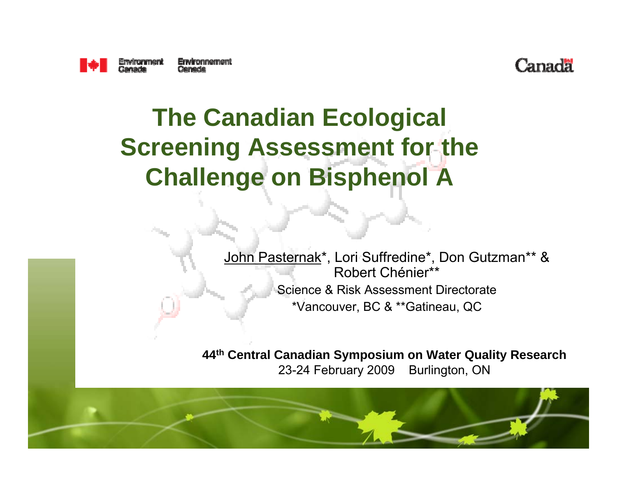



#### **The Canadian Ecological Screening Assessment for the Challenge on Bisphenol A**

John Pasternak\*, Lori Suffredine\*, Don Gutzman\*\* & Robert Chénier\*\*Science & Risk Assessment Directorate\*Vancouver, BC & \*\*Gatineau, QC

**44th Central Canadian Symposium on Water Quality Research**  23-24 February 2009 Burlington, ON

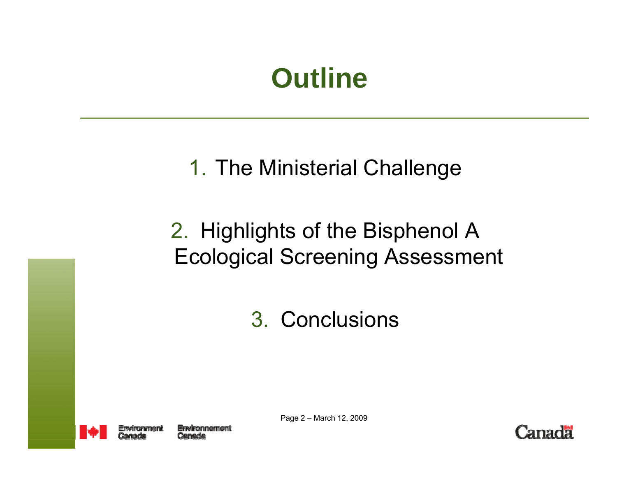### **Outline**

#### 1. The Ministerial Challenge

#### 2. Highlights of the Bisphenol A Ecological Screening Assessment

3. Conclusions



Page 2 – March 12, 2009

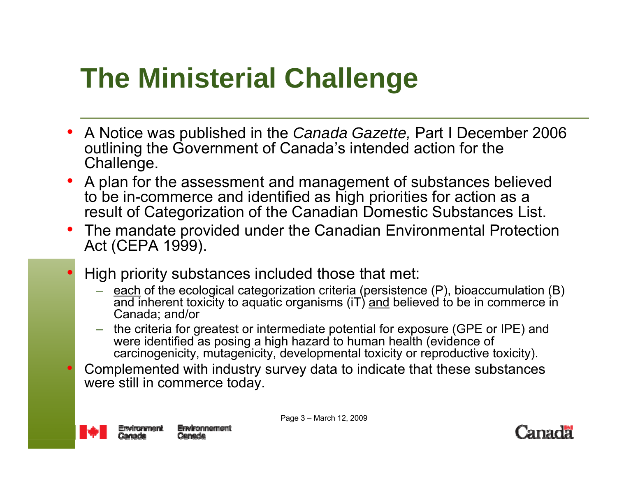# **The Ministerial Challenge**

- $\bullet$  A Notice was published in the *Canada Gazette,* Part I December 2006 outlining the Government of Canada's intended action for the Challenge.
- A plan for the assessment and management of substances believed to be in-commerce and identified as high priorities for action as a result of Categorization of the Canadian Domestic Substances List.
- $\bullet$  The mandate provided under the Canadian Environmental Protection Act (CEPA 1999).
- • High priority substances included those that met:
	- each of the ecological categorization criteria (persistence (P), bioaccumulation (B) and inherent toxicity to aquatic organisms (iT) and believed to be in commerce in Canada; and/or
	- the criteria for greatest or intermediate potential for exposure (GPE or IPE) and were identified as posing a high hazard to human health (evidence of carcinogenicity, mutagenicity, developmental toxicity or reproductive toxicity).
- • Complemented with industry survey data to indicate that these substances were still in commerce today.



Page 3 – March 12, 2009

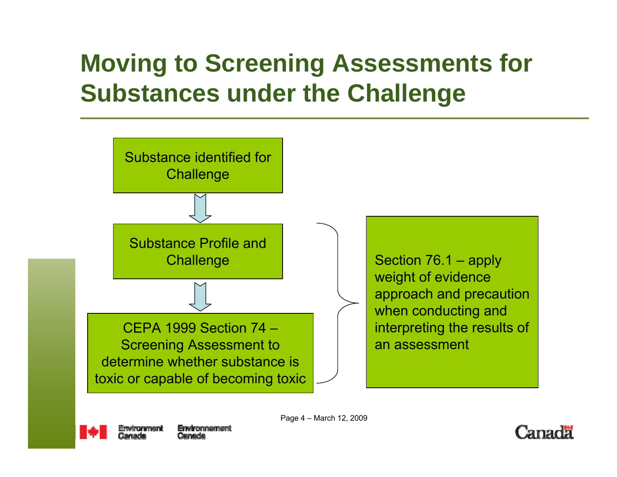### **Moving to Screening Assessments for Substances under the Challenge**





Page 4 – March 12, 2009

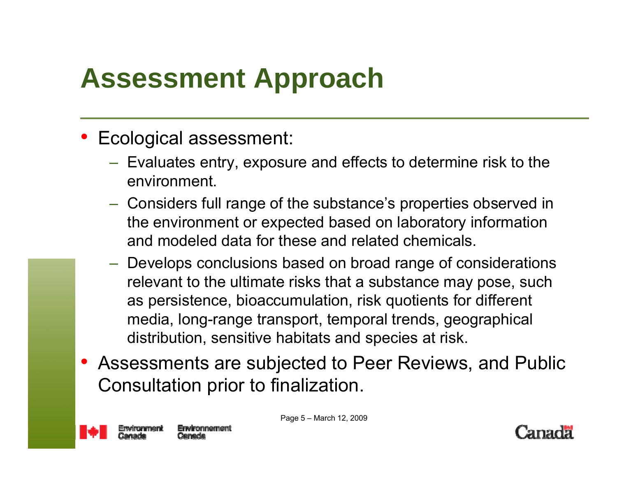# **Assessment Approach**

- Ecological assessment:
	- $-$  Evaluates entry, exposure and effects to determine risk to the environment.
	- Considers full range of the substance's properties observed in the environment or expected based on laboratory information and modeled data for these and related chemicals.
	- Develops conclusions based on broad range of considerations relevant to the ultimate risks that a substance may pose, such as persistence, bioaccumulation, risk quotients for different media, long-range transport, temporal trends, geographical distribution, sensitive habitats and species at risk.
- Assessments are subjected to Peer Reviews, and Public Consultation prior to finalization.



Page 5 – March 12, 2009

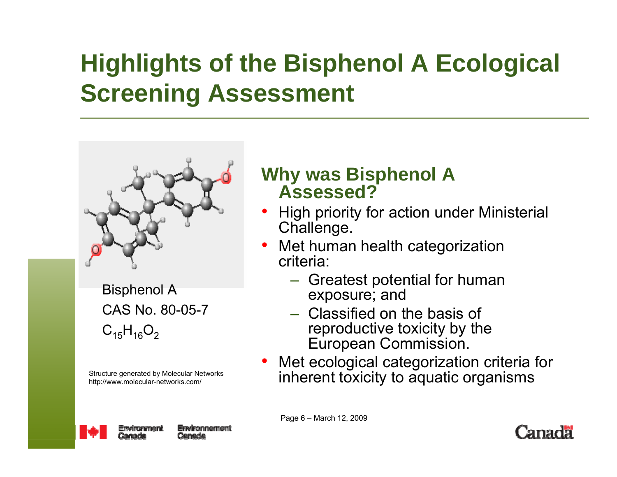### **Highlights of the Bisphenol A Ecological Screening Assessment**



Bisphenol A CAS No. 80-05-7 $C_{15}H_{16}O_2$ 

Structure generated by Molecular Networks http://www.molecular-networks.com/

#### **Why was Bisphenol A Assessed?**

- • High priority for action under Ministerial Challenge.
- Met human health categorization criteria:
	- Greatest potential for human exposure; and
	- Classified on the basis of reproductive toxicity by the European Commission.
- • Met ecological categorization criteria for inherent toxicity to aquatic organisms



Page 6 – March 12, 2009

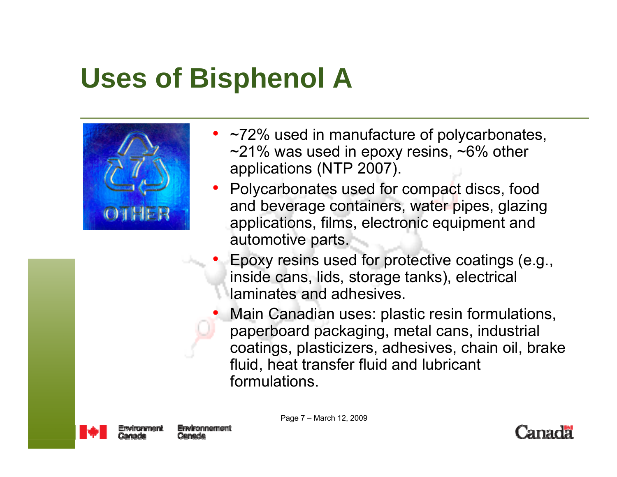# **Uses of Bisphenol A**



- ~72% used in manufacture of polycarbonates,  $\sim$ 21% was used in epoxy resins,  $\sim$ 6% other applications (NTP 2007).
- Polycarbonates used for compact discs, food and beverage containers, water pipes, glazing applications, films, electronic equipment and automotive parts.
- • Epoxy resins used for protective coatings (e.g., inside cans, lids, storage tanks), electrical laminates and adhesives.
- • Main Canadian uses: plastic resin formulations, paperboard packaging, metal cans, industrial coatings, plasticizers, adhesives, chain oil, brake fluid, heat transfer fluid and lubricant formulations.



Page 7 – March 12, 2009

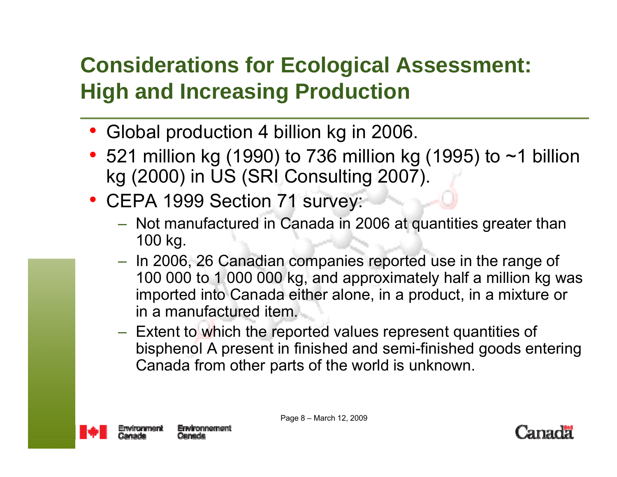#### **Considerations for Ecological Assessment: High and Increasing Production**

- •Global production 4 billion kg in 2006.
- 521 million kg (1990) to 736 million kg (1995) to  $\sim$ 1 billion kg (2000) in US (SRI Consulting 2007).
- CEPA 1999 Section 71 survey:
	- Not manufactured in Canada in 2006 at quantities greater than 100 kg.
	- In 2006, 26 Canadian companies reported use in the range of 100 000 to 1 000 000 kg, and approximately half a million kg was imported into Canada either alone, in a product, in a mixture or in a manufactured item.
	- Extent to which the reported values represent quantities of bisphenol A present in finished and semi-finished goods entering Canada from other parts of the world is unknown.



Page 8 – March 12, 2009

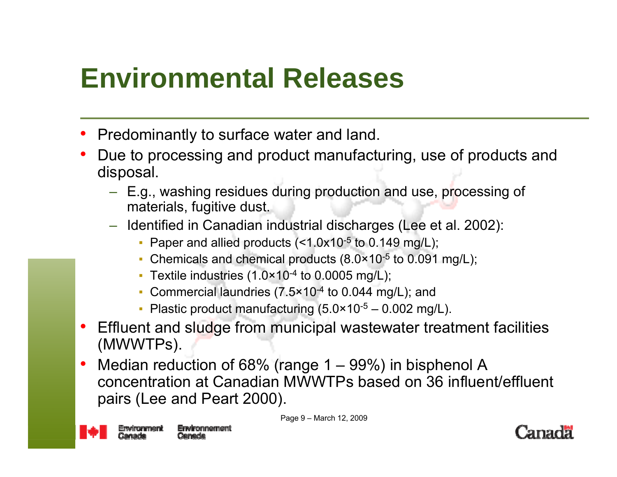# **Environmental Releases**

- •Predominantly to surface water and land.
- • Due to processing and product manufacturing, use of products and disposal.
	- E.g., washing residues during production and use, processing of materials, fugitive dust.
	- Identified in Canadian industrial discharges (Lee et al. 2002):
		- **Paper and allied products (<1.0x10** $-5$  **to 0.149 mg/L);**
		- **Chemicals and chemical products**  $(8.0 \times 10^{-5} \text{ to } 0.091 \text{ mg/L})$ **;**
		- **Textile industries (1.0×10<sup>-4</sup> to 0.0005 mg/L)**;
		- **Commercial laundries (7.5×10<sup>-4</sup> to 0.044 mg/L); and**
		- **Plastic product manufacturing**  $(5.0 \times 10^{-5} 0.002 \text{ mg/L})$ **.**
- • Effluent and sludge from municipal wastewater treatment facilities (MWWTPs).
- • Median reduction of 68% (range 1 – 99%) in bisphenol A concentration at Canadian MWWTPs based on 36 influent/effluent pairs (Lee and Peart 2000).



Page 9 – March 12, 2009

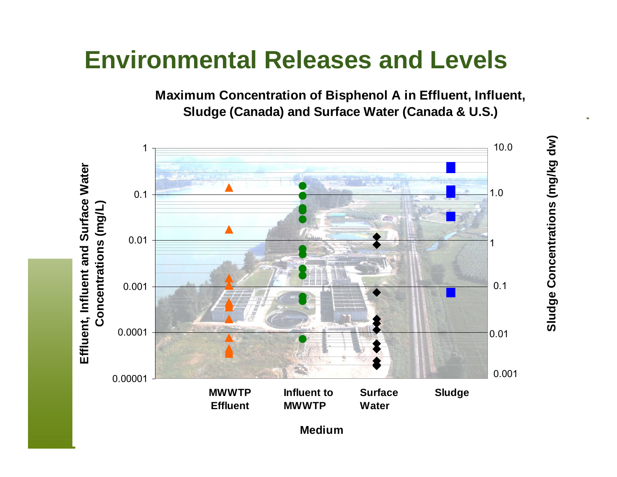#### **Environmental Releases and Levels**

**Maximum Concentration of Bisphenol A in Effluent, Influent, Sludge (Canada) and Surface Water (Canada & U.S.)** 

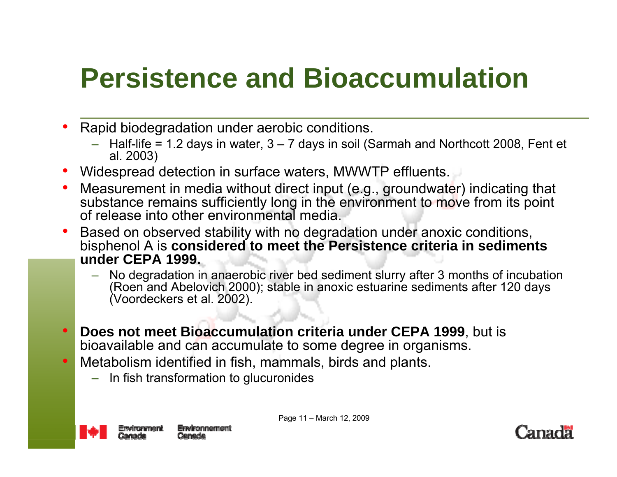# **Persistence and Bioaccumulation**

- • Rapid biodegradation under aerobic conditions.
	- – Half-life = 1.2 days in water, 3 – 7 days in soil (Sarmah and Northcott 2008, Fent et al. 2003)
- •Widespread detection in surface waters, MWWTP effluents.
- • Measurement in media without direct input (e.g., groundwater) indicating that substance remains sufficiently long in the environment to move from its point of release into other environmental media.
- • Based on observed stability with no degradation under anoxic conditions, bisphenol A is **considered to meet the Persistence criteria in sediments under CEPA 1999.**
	- No degradation in anaerobic river bed sediment slurry after 3 months of incubation (Roen and Abelovich 2000); stable in anoxic estuarine sediments after 120 days (Voordeckers et al. 2002).
- • **Does not meet Bioaccumulation criteria under CEPA 1999**, but is bioavailable and can accumulate to some degree in organisms.
- • Metabolism identified in fish, mammals, birds and plants.
	- In fish transformation to glucuronides



Page 11 – March 12, 2009

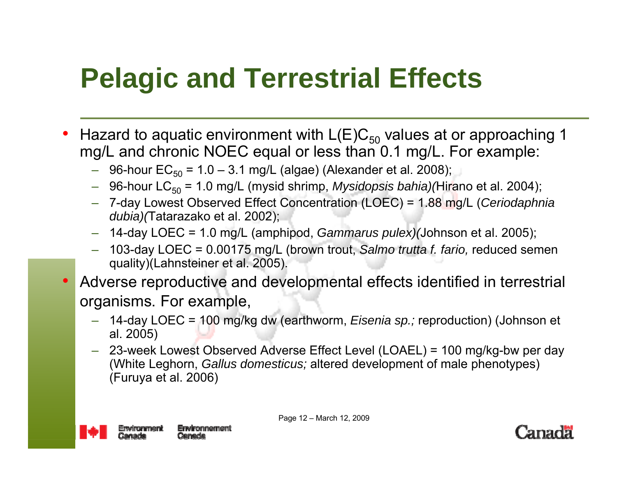# **Pelagic and Terrestrial Effects**

- •• Hazard to aquatic environment with  $\mathsf{L}(\mathsf{E}) \mathsf{C}_{50}$  values at or approaching 1 mg/L and chronic NOEC equal or less than 0.1 mg/L. For example:
	- $\,$  96-hour EC $_{50}$  = 1.0 3.1 mg/L (algae) (Alexander et al. 2008);
	- 96-hour LC<sub>50</sub> = 1.0 mg/L (mysid shrimp, *Mysidopsis bahia)(*Hirano et al. 2004);
	- 7-day Lowest Observed Effect Concentration (LOEC) = 1.88 mg/L (*Ceriodaphnia dubia)(*Tatarazako et al. 2002);
	- 14-day LOEC = 1.0 mg/L (amphipod, *Gammarus pulex)(*Johnson et al. 2005);
	- 103-day LOEC = 0.00175 mg/L (brown trout, *Salmo trutta f. fario,* reduced semen quality)(Lahnsteiner et al. 2005).
- • Adverse reproductive and developmental effects identified in terrestrial organisms. For example,
	- 14-day LOEC = 100 mg/kg dw (earthworm, *Eisenia sp.;* reproduction) (Johnson et al. 2005)
	- 23-week Lowest Observed Adverse Effect Level (LOAEL) = 100 mg/kg-bw per day (White Leghorn, *Gallus domesticus;* altered development of male phenotypes) (Furuya et al. 2006)



Page 12 – March 12, 2009

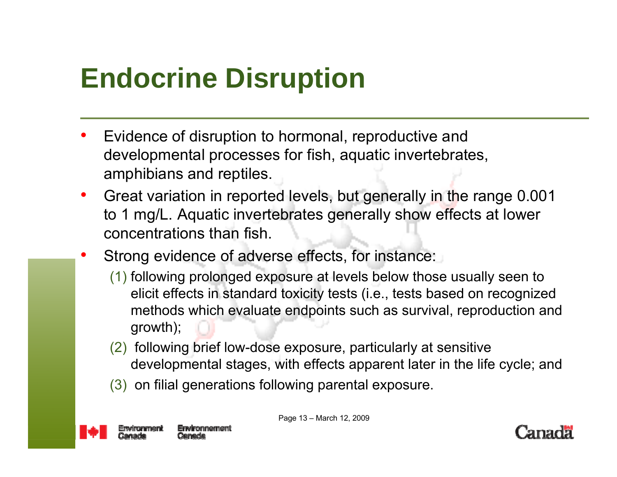# **Endocrine Disruption**

- • Evidence of disruption to hormonal, reproductive and developmental processes for fish, aquatic invertebrates, amphibians and reptiles.
- • Great variation in reported levels, but generally in the range 0.001 to 1 mg/L. Aquatic invertebrates generally show effects at lower concentrations than fish.
- • Strong evidence of adverse effects, for instance:
	- (1) following prolonged exposure at levels below those usually seen to elicit effects in standard toxicity tests (i.e., tests based on recognized methods which evaluate endpoints such as survival, reproduction and growth);
	- (2) following brief low-dose exposure, particularly at sensitive developmental stages, with effects apparent later in the life cycle; and
	- (3) on filial generations following parental exposure.



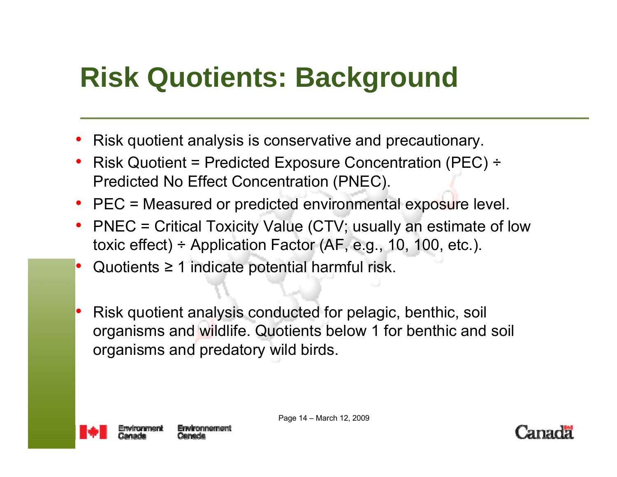# **Risk Quotients: Background**

- •Risk quotient analysis is conservative and precautionary.
- • Risk Quotient = Predicted Exposure Concentration (PEC) <sup>÷</sup> Predicted No Effect Concentration (PNEC).
- PEC = Measured or predicted environmental exposure level.
- PNEC = Critical Toxicity Value (CTV; usually an estimate of low toxic effect)  $\div$  Application Factor (AF, e.g., 10, 100, etc.).
- •Quotients  $\geq 1$  indicate potential harmful risk.
- • Risk quotient analysis conducted for pelagic, benthic, soil organisms and wildlife. Quotients below 1 for benthic and soil organisms and predatory wild birds.



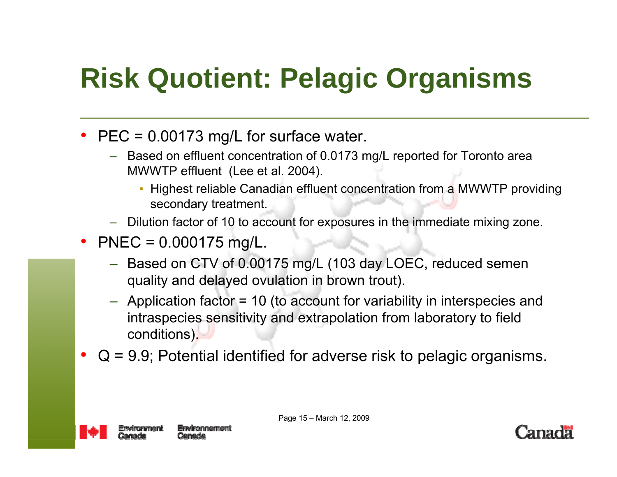# **Risk Quotient: Pelagic Organisms**

- PEC = 0.00173 mg/L for surface water.
	- Based on effluent concentration of 0.0173 mg/L reported for Toronto area MWWTP effluent (Lee et al. 2004).
		- **Highest reliable Canadian effluent concentration from a MWWTP providing** secondary treatment.
	- Dilution factor of 10 to account for exposures in the immediate mixing zone.
- PNEC =  $0.000175$  mg/L.
	- Based on CTV of 0.00175 mg/L (103 day LOEC, reduced semen quality and delayed ovulation in brown trout).
	- Application factor = 10 (to account for variability in interspecies and intraspecies sensitivity and extrapolation from laboratory to field conditions).
- • $Q = 9.9$ ; Potential identified for adverse risk to pelagic organisms.



Page 15 – March 12, 2009

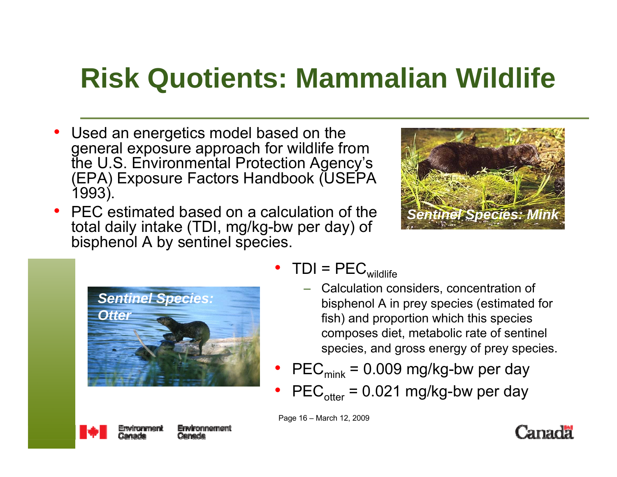# **Risk Quotients: Mammalian Wildlife**

- • Used an energetics model based on the general exposure approach for wildlife from the U.S. Environmental Protection Agency's (EPA) Exposure Factors Handbook (USEPA 1993).
- • PEC estimated based on a calculation of the total daily intake (TDI, mg/kg-bw per day) of bisphenol A by sentinel species.





- TDI =  $PEC_{\text{wildlife}}$ 
	- Calculation considers, concentration of bisphenol A in prey species (estimated for fish) and proportion which this species composes diet, metabolic rate of sentinel species, and gross energy of prey species.
- •• PEC $_{\text{mink}}$  = 0.009 mg/kg-bw per day
- •• PEC $_{\text{other}}$  = 0.021 mg/kg-bw per day

Page 16 – March 12, 2009



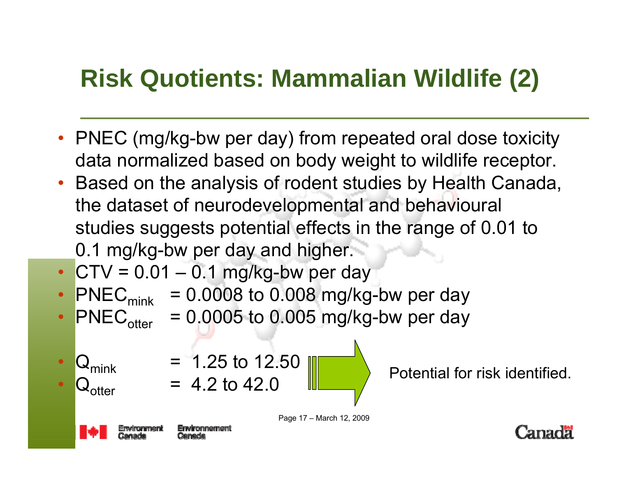### **Risk Quotients: Mammalian Wildlife (2)**

- PNEC (mg/kg-bw per day) from repeated oral dose toxicity data normalized based on body weight to wildlife receptor.
- Based on the analysis of rodent studies by Health Canada, the dataset of neurodevelopmental and behavioural studies suggests potential effects in the range of 0.01 to 0.1 mg/kg-bw per day and higher.
- • $\bullet$  CTV = 0.01  $-$  0.1 mg/kg-bw per day
- PNEC $_{\text{mink}}$  = 0.0008 to 0.008 mg/kg-bw per day
- PNEC<sub>otter</sub> = 0.0005 to 0.005 mg/kg-bw per day
- • $\bm{\lambda}$ mink • $\lq$ ntter

•

•

 $= 1.25$  to 12.50<br>= 4.2 to 42.0

Potential for risk identified.



Page 17 – March 12, 2009

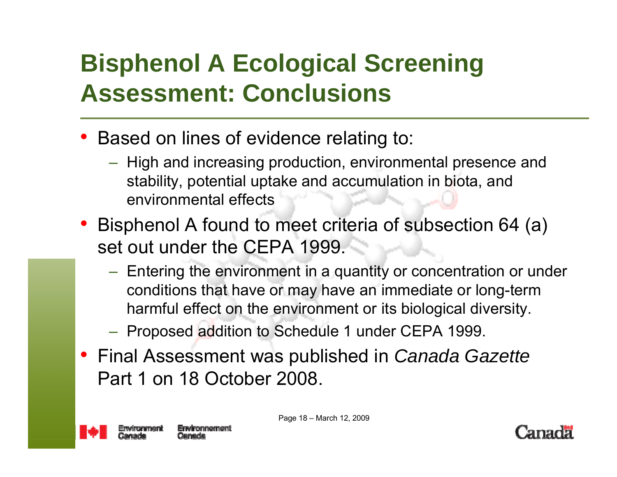### **Bisphenol A Ecological Screening Assessment: Conclusions**

- Based on lines of evidence relating to:
	- $-$  High and increasing production, environmental presence and stability, potential uptake and accumulation in biota, and environmental effects
- Bisphenol A found to meet criteria of subsection 64 (a) set out under the CEPA 1999.
	- Entering the environment in a quantity or concentration or under conditions that have or may have an immediate or long-term harmful effect on the environment or its biological diversity.
	- Proposed addition to Schedule 1 under CEPA 1999.
- Final Assessment was published in *Canada Gazette*  Part 1 on 18 October 2008.



Page 18 – March 12, 2009

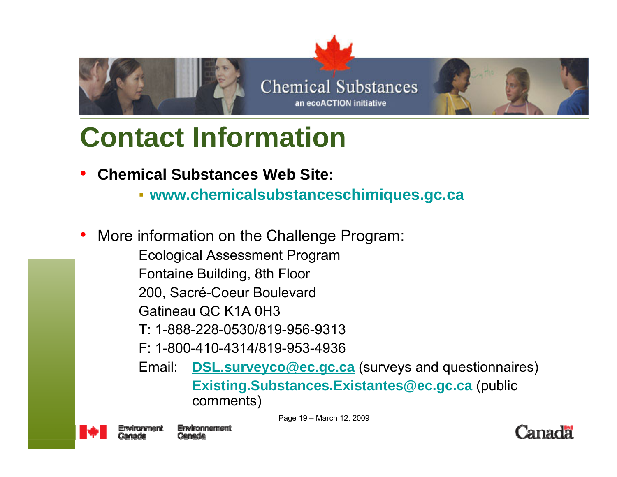

### **Contact Information**

- • **Chemical Substances Web Site:** 
	- **[www.chemicalsubstanceschimiques.gc.ca](http://www.chemicalsubstanceschimiques.gc.ca/)**
- • More information on the Challenge Program:
	- Ecological Assessment Program
	- Fontaine Building, 8th Floor
	- 200, Sacré-Coeur Boulevard
	- Gatineau QC K1A 0H3
	- T: 1-888-228-0530/819-956-9313
	- F: 1-800-410-4314/819-953-4936
	- Email: **[DSL.surveyco@ec.gc.ca](mailto:DSL.surveyco@ec.gc.ca)** (surveys and questionnaires) **[Existing.Substances.Existantes@ec.gc.ca](mailto:Existing.Substances.Existantes@ec.gc.ca)** (public comments)

Page 19 – March 12, 2009

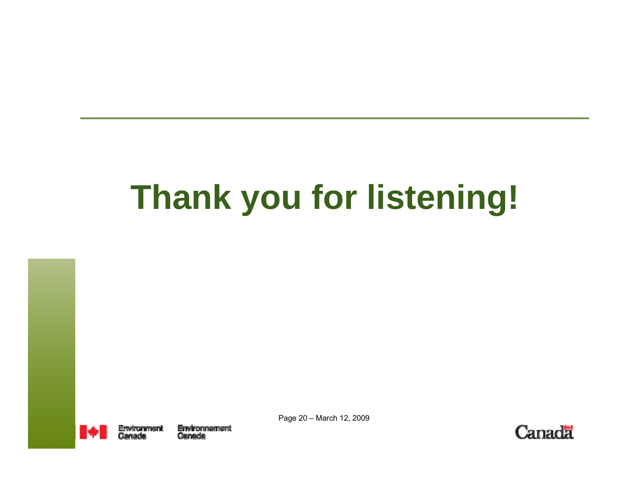# **Thank you for listening!**



Page 20 – March 12, 2009

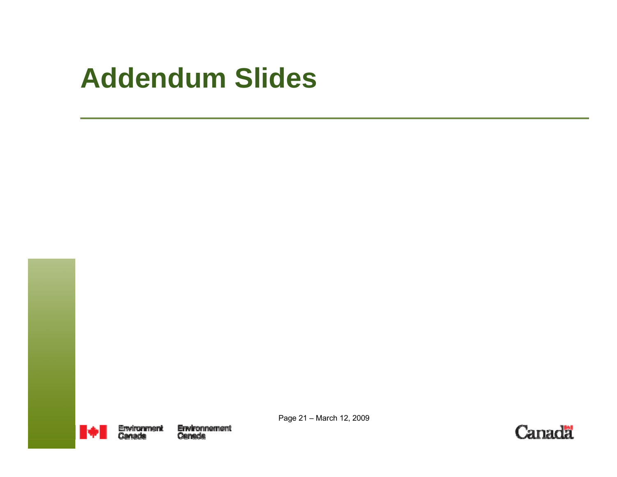### **Addendum Slides**



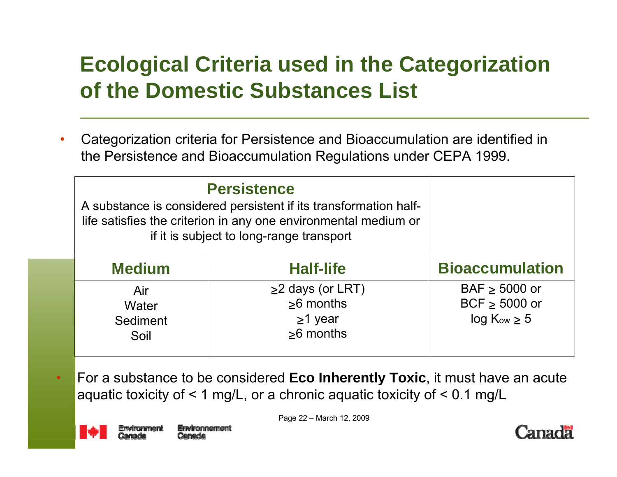#### **Ecological Criteria used in the Categorization of the Domestic Substances List**

• Categorization criteria for Persistence and Bioaccumulation are identified in the Persistence and Bioaccumulation Regulations under CEPA 1999.

| <b>Persistence</b><br>A substance is considered persistent if its transformation half-<br>life satisfies the criterion in any one environmental medium or<br>if it is subject to long-range transport |                                                                               |                                                             |
|-------------------------------------------------------------------------------------------------------------------------------------------------------------------------------------------------------|-------------------------------------------------------------------------------|-------------------------------------------------------------|
| <b>Medium</b>                                                                                                                                                                                         | <b>Half-life</b>                                                              | <b>Bioaccumulation</b>                                      |
| Air<br>Water<br>Sediment<br>Soil                                                                                                                                                                      | $\geq$ 2 days (or LRT)<br>$\geq 6$ months<br>$\geq$ 1 year<br>$\geq 6$ months | $BAF \geq 5000$ or<br>BCF $\geq$ 5000 or<br>$log Kow \ge 5$ |

 For a substance to be considered **Eco Inherently Toxic**, it must have an acute aquatic toxicity of  $\leq 1$  mg/L, or a chronic aquatic toxicity of  $\leq 0.1$  mg/L



Page 22 – March 12, 2009

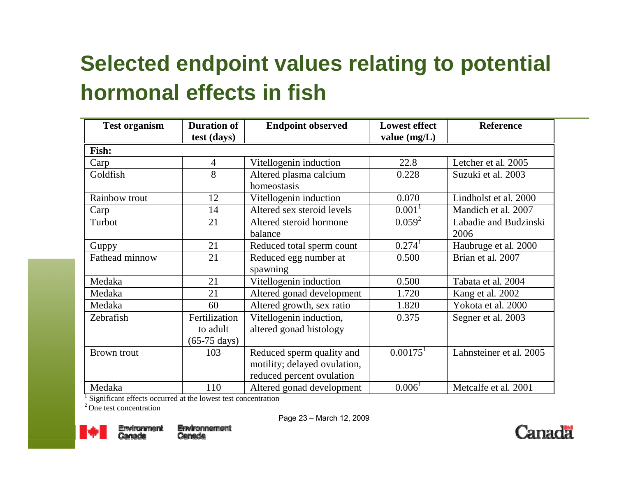#### **Selected endpoint values relating to potential hormonal effects in fish**

| <b>Test organism</b> | <b>Duration of</b><br>test (days) | <b>Endpoint observed</b>     | <b>Lowest effect</b><br>value $(mg/L)$ | <b>Reference</b>        |
|----------------------|-----------------------------------|------------------------------|----------------------------------------|-------------------------|
| Fish:                |                                   |                              |                                        |                         |
| Carp                 | $\overline{4}$                    | Vitellogenin induction       | 22.8                                   | Letcher et al. 2005     |
| Goldfish             | 8                                 | Altered plasma calcium       | 0.228                                  | Suzuki et al. 2003      |
|                      |                                   | homeostasis                  |                                        |                         |
| Rainbow trout        | 12                                | Vitellogenin induction       | 0.070                                  | Lindholst et al. 2000   |
| Carp                 | 14                                | Altered sex steroid levels   | 0.001 <sup>1</sup>                     | Mandich et al. 2007     |
| Turbot               | 21                                | Altered steroid hormone      | $0.059^2$                              | Labadie and Budzinski   |
|                      |                                   | balance                      |                                        | 2006                    |
| Guppy                | 21                                | Reduced total sperm count    | 0.274 <sup>1</sup>                     | Haubruge et al. 2000    |
| Fathead minnow       | 21                                | Reduced egg number at        | 0.500                                  | Brian et al. 2007       |
|                      |                                   | spawning                     |                                        |                         |
| Medaka               | 21                                | Vitellogenin induction       | 0.500                                  | Tabata et al. 2004      |
| Medaka               | 21                                | Altered gonad development    | 1.720                                  | Kang et al. 2002        |
| Medaka               | 60                                | Altered growth, sex ratio    | 1.820                                  | Yokota et al. 2000      |
| Zebrafish            | Fertilization                     | Vitellogenin induction,      | 0.375                                  | Segner et al. 2003      |
|                      | to adult                          | altered gonad histology      |                                        |                         |
|                      | $(65-75 \text{ days})$            |                              |                                        |                         |
| <b>Brown</b> trout   | 103                               | Reduced sperm quality and    | $0.00175$ <sup>1</sup>                 | Lahnsteiner et al. 2005 |
|                      |                                   | motility; delayed ovulation, |                                        |                         |
|                      |                                   | reduced percent ovulation    |                                        |                         |
| Medaka               | 110                               | Altered gonad development    | 0.006 <sup>1</sup>                     | Metcalfe et al. 2001    |

<sup>1</sup> Significant effects occurred at the lowest test concentration

<sup>2</sup> One test concentration



Page 23 – March 12, 2009

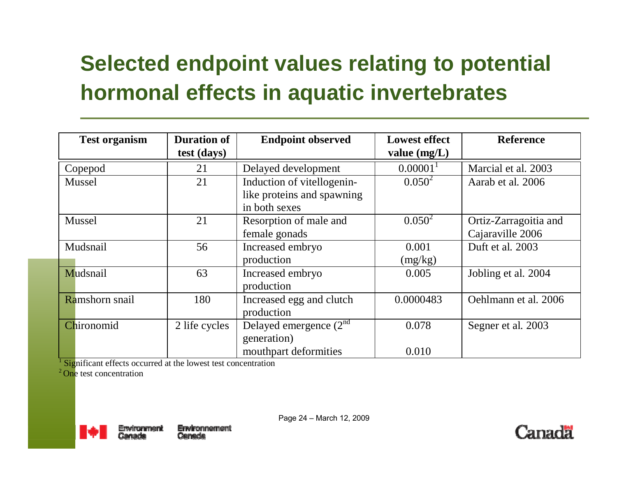#### **Selected endpoint values relating to potential hormonal effects in aquatic invertebrates**

| <b>Test organism</b> | <b>Duration of</b> | <b>Endpoint observed</b>   | <b>Lowest effect</b> | <b>Reference</b>      |
|----------------------|--------------------|----------------------------|----------------------|-----------------------|
|                      | test (days)        |                            | value $(mg/L)$       |                       |
| Copepod              | 21                 | Delayed development        | 0.00001              | Marcial et al. 2003   |
| Mussel               | 21                 | Induction of vitellogenin- | $0.050^2$            | Aarab et al. 2006     |
|                      |                    | like proteins and spawning |                      |                       |
|                      |                    | in both sexes              |                      |                       |
| Mussel               | 21                 | Resorption of male and     | $0.050^2$            | Ortiz-Zarragoitia and |
|                      |                    | female gonads              |                      | Cajaraville 2006      |
| Mudsnail             | 56                 | Increased embryo           | 0.001                | Duft et al. 2003      |
|                      |                    | production                 | (mg/kg)              |                       |
| Mudsnail             | 63                 | Increased embryo           | 0.005                | Jobling et al. 2004   |
|                      |                    | production                 |                      |                       |
| Ramshorn snail       | 180                | Increased egg and clutch   | 0.0000483            | Oehlmann et al. 2006  |
|                      |                    | production                 |                      |                       |
| Chironomid           | 2 life cycles      | Delayed emergence $(2nd$   | 0.078                | Segner et al. 2003    |
|                      |                    | generation)                |                      |                       |
|                      |                    | mouthpart deformities      | 0.010                |                       |

Significant effects occurred at the lowest test concentration

mement

2 One test concentration



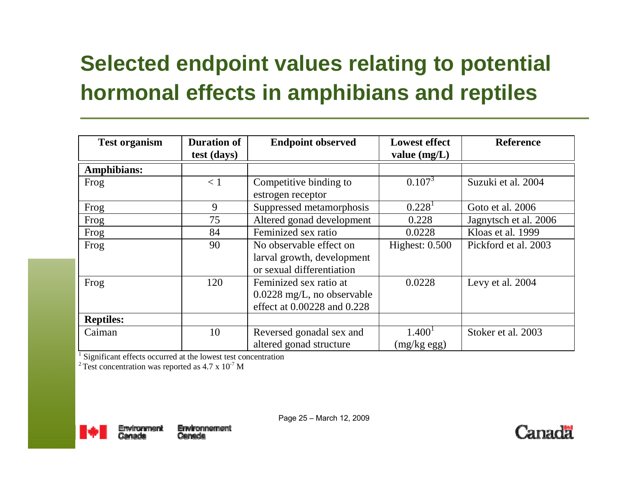#### **Selected endpoint values relating to potential hormonal effects in amphibians and reptiles**

| <b>Test organism</b> | <b>Duration of</b><br>test (days) | <b>Endpoint observed</b>                                                              | <b>Lowest effect</b><br>value $(mg/L)$ | <b>Reference</b>      |
|----------------------|-----------------------------------|---------------------------------------------------------------------------------------|----------------------------------------|-----------------------|
| Amphibians:          |                                   |                                                                                       |                                        |                       |
| Frog                 | < 1                               | Competitive binding to<br>estrogen receptor                                           | $0.107^{3}$                            | Suzuki et al. 2004    |
| Frog                 | 9                                 | Suppressed metamorphosis                                                              | $0.228$ <sup>1</sup>                   | Goto et al. 2006      |
| Frog                 | 75                                | Altered gonad development                                                             | 0.228                                  | Jagnytsch et al. 2006 |
| Frog                 | 84                                | Feminized sex ratio                                                                   | 0.0228                                 | Kloas et al. 1999     |
| Frog                 | 90                                | No observable effect on<br>larval growth, development<br>or sexual differentiation    | Highest: $0.500$                       | Pickford et al. 2003  |
| Frog                 | 120                               | Feminized sex ratio at<br>$0.0228$ mg/L, no observable<br>effect at 0.00228 and 0.228 | 0.0228                                 | Levy et al. 2004      |
| <b>Reptiles:</b>     |                                   |                                                                                       |                                        |                       |
| Caiman               | 10                                | Reversed gonadal sex and<br>altered gonad structure                                   | 1.400 <sup>1</sup><br>$(mg/kg$ egg)    | Stoker et al. 2003    |

<sup>1</sup> Significant effects occurred at the lowest test concentration

<sup>2</sup> Test concentration was reported as  $4.7 \times 10^{-7}$  M



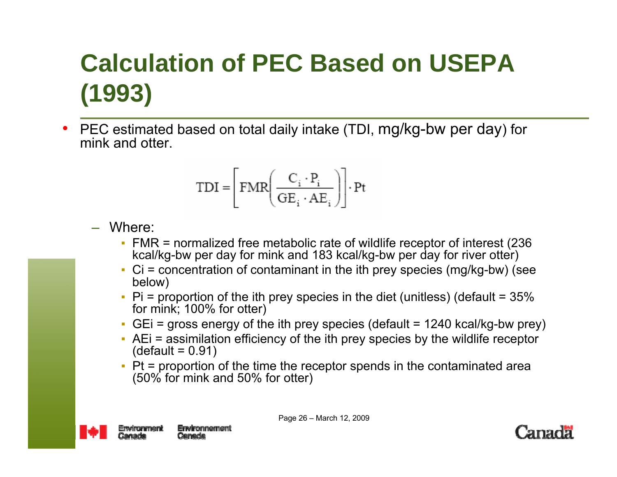### **Calculation of PEC Based on USEPA (1993)**

• PEC estimated based on total daily intake (TDI, mg/kg-bw per day) for mink and otter.

$$
\text{TDI} = \left[ \text{FMR} \left( \frac{C_i \cdot P_i}{\text{GE}_i \cdot \text{AE}_i} \right) \right] \cdot \text{Pt}
$$

- Where:
	- FMR = normalized free metabolic rate of wildlife receptor of interest (236 kcal/kg-bw per day for mink and 183 kcal/kg-bw per day for river otter)
	- $\blacksquare$  Ci = concentration of contaminant in the ith prey species (mg/kg-bw) (see below)
	- $\blacksquare$  Pi = proportion of the ith prey species in the diet (unitless) (default = 35% for mink; 100% for otter)
	- GEi = gross energy of the ith prey species (default = 1240 kcal/kg-bw prey)
	- AEi = assimilation efficiency of the ith prey species by the wildlife receptor  $(detault = 0.91)$
	- ▪ Pt = proportion of the time the receptor spends in the contaminated area (50% for mink and 50% for otter)



Page 26 – March 12, 2009